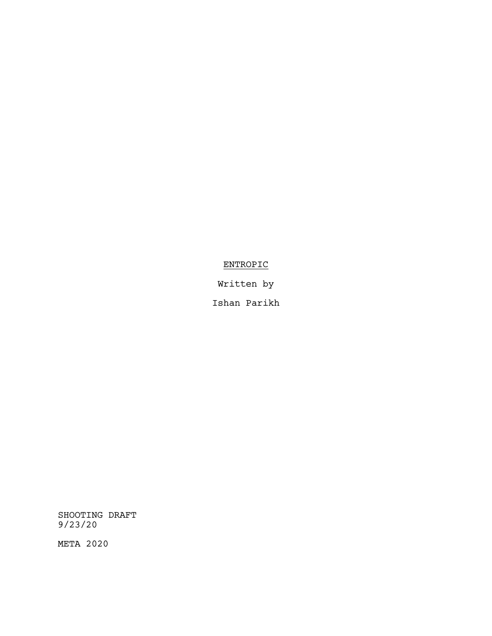# ENTROPIC

Written by

Ishan Parikh

SHOOTING DRAFT 9/23/20

META 2020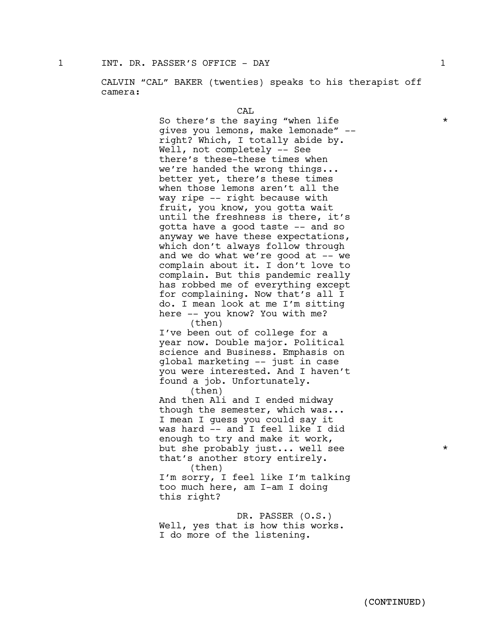CALVIN "CAL" BAKER (twenties) speaks to his therapist off camera:

CAL

So there's the saying "when life  $\star$ gives you lemons, make lemonade" - right? Which, I totally abide by. Well, not completely -- See there's these-these times when we're handed the wrong things... better yet, there's these times when those lemons aren't all the way ripe -- right because with fruit, you know, you gotta wait until the freshness is there, it's gotta have a good taste -- and so anyway we have these expectations, which don't always follow through and we do what we're good at  $-$ - we complain about it. I don't love to complain. But this pandemic really has robbed me of everything except for complaining. Now that's all I do. I mean look at me I'm sitting here -- you know? You with me? (then) I've been out of college for a year now. Double major. Political science and Business. Emphasis on global marketing -- just in case you were interested. And I haven't found <sup>a</sup> job. Unfortunately. (then) And then Ali and I ended midway though the semester, which was...<br>I mean I guess you could say it was hard -- and I feel like I did enough to try and make it work, but she probably just... well see \* that's another story entirely.<br>(then) I'm sorry, I feel like I'm talking too much here, am I-am I doing this right?

DR. PASSER (O.S.) Well, yes that is how this works. I do more of the listening.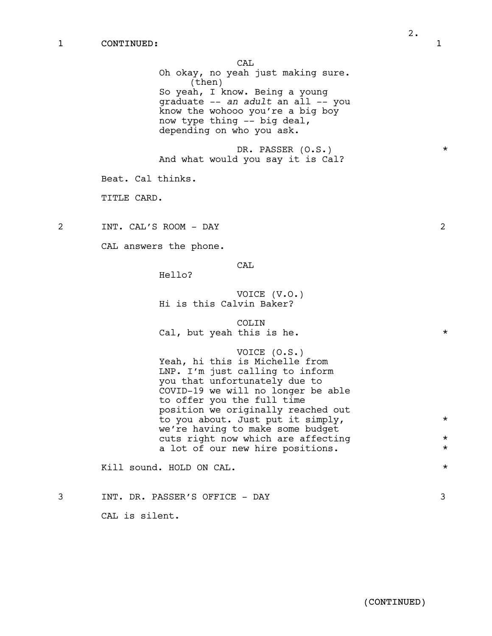CAL Oh okay, no yeah just making sure. (then) So yeah, I know. Being a young graduate -- *an adult* an all -- you know the wohooo you're a big boy now type thing -- big deal, depending on who you ask. DR. PASSER (O.S.) \* And what would you say it is Cal? Beat. Cal thinks. TITLE CARD. 2 INT. CAL'S ROOM - DAY 2 CAL answers the phone. CAL Hello? VOICE (V.O.) Hi is this Calvin Baker? COLIN Cal, but yeah this is he.  $*$ VOICE (O.S.) Yeah, hi this is Michelle from LNP. I'm just calling to inform you that unfortunately due to COVID-19 we will no longer be able to offer you the full time position we originally reached out to you about. Just put it simply,  $*$ we're having to make some budget cuts right now which are affecting  $*$ a lot of our new hire positions.  $*$ Kill sound. HOLD ON CAL.  $\star$ 

3 INT. DR. PASSER'S OFFICE - DAY 3

CAL is silent.

2.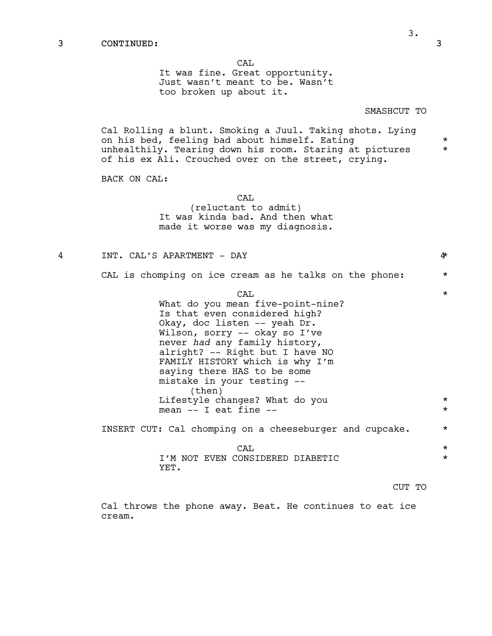### 3 CONTINUED: 3

CAL

It was fine. Great opportunity. Just wasn't meant to be. Wasn't too broken up about it.

### SMASHCUT TO

Cal Rolling a blunt. Smoking a Juul. Taking shots. Lying on his bed, feeling bad about himself. Eating  $*$ unhealthily. Tearing down his room. Staring at pictures \* of his ex Ali. Crouched over on the street, crying.

BACK ON CAL:

CAL

(reluctant to admit) It was kinda bad. And then what made it worse was my diagnosis.

4 INT. CAL'S APARTMENT - DAY 4\*

CAL is chomping on ice cream as he talks on the phone: \*

 $\overline{CAL}$   $\overline{CAL}$ What do you mean five-point-nine? Is that even considered high? Okay, doc listen -- yeah Dr. Wilson, sorry -- okay so I've<br>never had any family history, alright? -- Right but I have NO FAMILY HISTORY which is why I'm saying there HAS to be some mistake in your testing -- (then) Lifestyle changes? What do you  $*$ mean  $-$  I eat fine  $-$ 

INSERT CUT: Cal chomping on a cheeseburger and cupcake.  $*$ 

 $\overline{CAL}$   $\overline{CAL}$ I'M NOT EVEN CONSIDERED DIABETIC  $\star$ YET.

CUT TO

Cal throws the phone away. Beat. He continues to eat ice cream.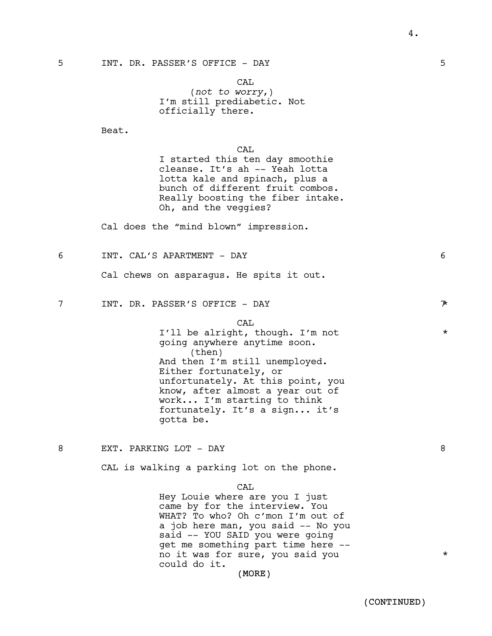4.

CAL (*not to worry*,) I'm still prediabetic. Not officially there.

Beat.

CAL

I started this ten day smoothie cleanse. It's ah -- Yeah lotta lotta kale and spinach, plus a bunch of different fruit combos. Really boosting the fiber intake. Oh, and the veggies?

Cal does the "mind blown" impression.

6 INT. CAL'S APARTMENT - DAY 6

Cal chews on asparagus. He spits it out.

7 INT. DR. PASSER'S OFFICE - DAY 7\*

CAL

I'll be alright, though. I'm not  $*$ going anywhere anytime soon. (then) And then I'm still unemployed. Either fortunately, or unfortunately. At this point, you know, after almost a year out of work... I'm starting to think fortunately. It's a sign... it's gotta be.

8 EXT. PARKING LOT - DAY 8

CAL is walking a parking lot on the phone.

CAL

Hey Louie where are you I just came by for the interview. You WHAT? To who? Oh c'mon I'm out of a job here man, you said -- No you said -- YOU SAID you were going get me something part time here - no it was for sure, you said you  $*$ could do it.

### (MORE)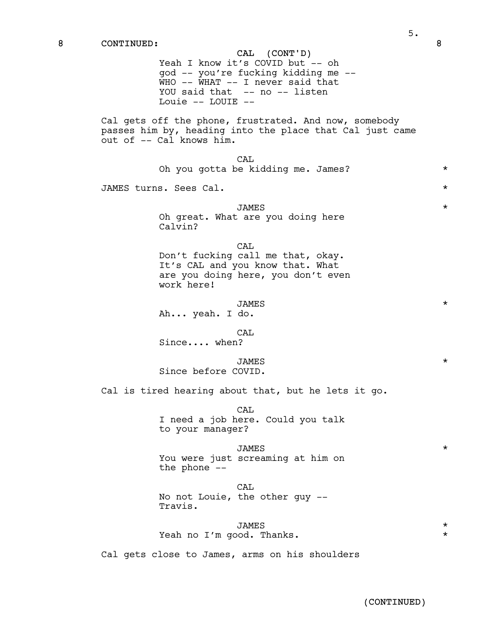CAL (CONT'D) Yeah I know it's COVID but -- oh god -- you're fucking kidding me -- WHO -- WHAT -- I never said that YOU said that -- no -- listen Louie -- LOUIE --

Cal gets off the phone, frustrated. And now, somebody passes him by, heading into the place that Cal just came out of -- Cal knows him.

> CAL Oh you gotta be kidding me. James? \*\*\*

JAMES turns. Sees Cal. \*

## JAMES \* Oh great. What are you doing here Calvin?

CAL Don't fucking call me that, okay. It's CAL and you know that. What are you doing here, you don't even work here!

JAMES \* Ah... yeah. I do.

CAL

Since.... when?

JAMES \*

Since before COVID.

Cal is tired hearing about that, but he lets it go.

CAL I need a job here. Could you talk to your manager?

JAMES \* You were just screaming at him on the phone --

CAL No not Louie, the other guy -- Travis.

## JAMES \* Yeah no I'm good. Thanks.

Cal gets close to James, arms on his shoulders

(CONTINUED)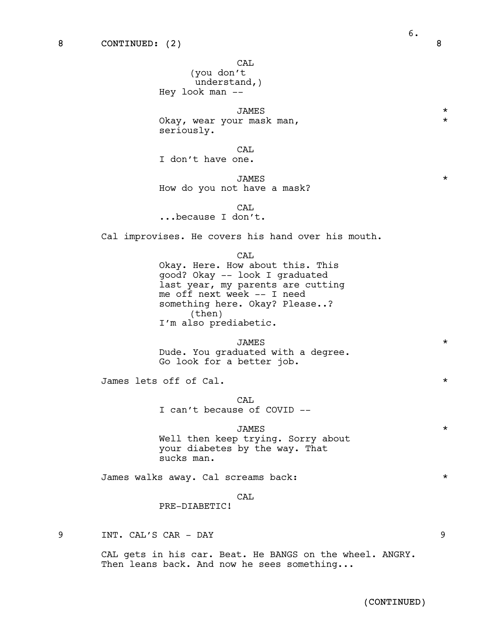CAL

(you don't understand,) Hey look man --

JAMES \* Okay, wear your mask man, seriously.

**CAL** 

I don't have one.

JAMES \*

How do you not have a mask?

**CAL** ...because I don't.

Cal improvises. He covers his hand over his mouth.

CAL

Okay. Here. How about this. This good? Okay -- look I graduated last year, my parents are cutting me off next week -- I need something here. Okay? Please..? (then) I'm also prediabetic.

JAMES \* Dude. You graduated with a degree.<br>Go look for a better job.

James lets off of Cal. \*

CAL I can't because of COVID --

### JAMES \*

Well then keep trying. Sorry about your diabetes by the way. That sucks man.

James walks away. Cal screams back: \*

CAL

PRE-DIABETIC!

9 INT. CAL'S CAR - DAY 9

CAL gets in his car. Beat. He BANGS on the wheel. ANGRY. Then leans back. And now he sees something...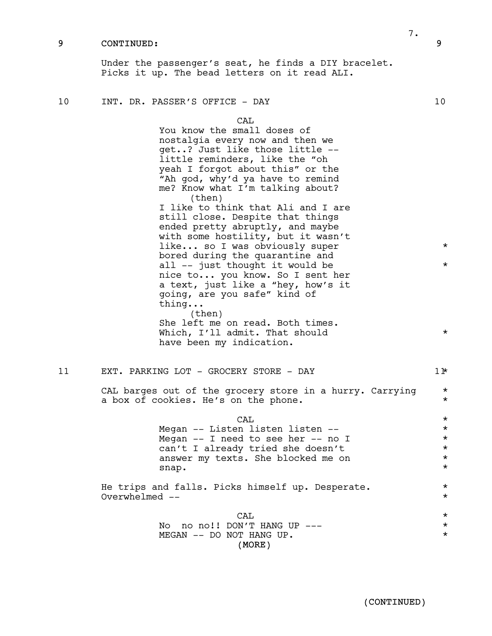### 9 CONTINUED: 9

Under the passenger's seat, he finds a DIY bracelet. Picks it up. The bead letters on it read ALI.

(MORE) CAL You know the small doses of nostalgia every now and then we get..? Just like those little - little reminders, like the "oh yeah I forgot about this" or the "Ah god, why'd ya have to remind me? Know what I'm talking about? (then) I like to think that Ali and I are still close. Despite that things ended pretty abruptly, and maybe with some hostility, but it wasn't like... so I was obviously super  $*$ bored during the quarantine and all  $--$  just thought it would be  $*$ nice to... you know. So I sent her a text, just like a "hey, how's it going, are you safe" kind of thing... (then) She left me on read. Both times. Which, I'll admit. That should  $\star$ have been my indication. 11 EXT. PARKING LOT - GROCERY STORE - DAY 11 11 CAL barges out of the grocery store in a hurry. Carrying \* a box of cookies. He's on the phone.  $*$  $\overline{CAL}$   $\overline{CAL}$ Megan -- Listen listen listen -- \* \* \* \* Megan  $--$  I need to see her  $--$  no I  $*$ can't I already tried she doesn't \* answer my texts. She blocked me on  $*$ snap. \* He trips and falls. Picks himself up. Desperate. \* Overwhelmed -- \*  $\overline{CAL}$   $\overline{CAL}$ No no no!! DON'T HANG UP  $-- *$ MEGAN -- DO NOT HANG UP.  $\star$ 

7.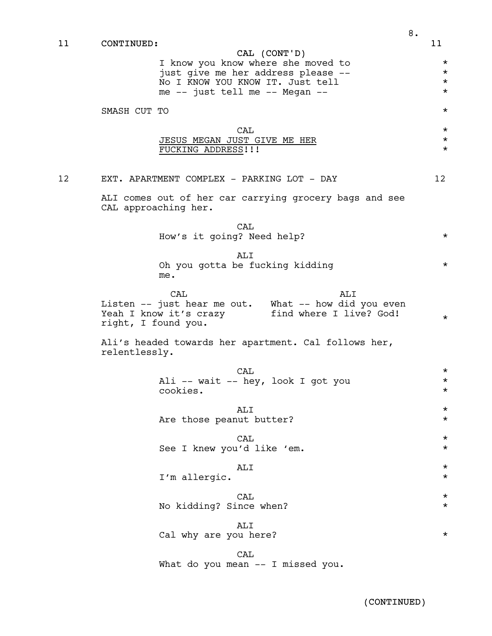| 11 | CONTINUED:          | CAL (CONT'D)                                                                   | 11                   |
|----|---------------------|--------------------------------------------------------------------------------|----------------------|
|    |                     |                                                                                |                      |
|    |                     | I know you know where she moved to<br>just give me her address please --       | $\star$<br>$^\star$  |
|    |                     | No I KNOW YOU KNOW IT. Just tell<br>me -- just tell me -- Megan --             | $^\star$<br>$^\star$ |
|    | SMASH CUT TO        |                                                                                | $^\star$             |
|    |                     |                                                                                |                      |
|    |                     | CAL<br>JESUS MEGAN JUST GIVE ME HER                                            | $^\star$<br>$^\star$ |
|    |                     | FUCKING ADDRESS!!!                                                             | $^\star$             |
| 12 |                     | EXT. APARTMENT COMPLEX - PARKING LOT - DAY                                     | 12 <sup>°</sup>      |
|    |                     | ALI comes out of her car carrying grocery bags and see<br>CAL approaching her. |                      |
|    |                     | CAL<br>How's it going? Need help?                                              | $\star$              |
|    |                     | ALI                                                                            |                      |
|    |                     | Oh you gotta be fucking kidding<br>me.                                         | $\star$              |
|    |                     | CAL<br>ALI<br>Listen -- just hear me out. What -- how did you even             |                      |
|    | right, I found you. | Yeah I know it's crazy<br>find where I live? God!                              | $\star$              |
|    | relentlessly.       | Ali's headed towards her apartment. Cal follows her,                           |                      |
|    |                     | CAL                                                                            | $\star$              |
|    |                     | Ali -- wait -- hey, look I got you<br>cookies.                                 | $^\star$<br>$^\star$ |
|    |                     | ALI                                                                            | $^\star$             |
|    |                     | Are those peanut butter?                                                       | $^\star$             |
|    |                     | CAL<br>See I knew you'd like 'em.                                              | $^\star$<br>$^\star$ |
|    |                     |                                                                                |                      |
|    |                     | ALI<br>I'm allergic.                                                           | $^\star$<br>$^\star$ |
|    |                     | CAL                                                                            | $^\star$             |
|    |                     | No kidding? Since when?                                                        | $^\star$             |
|    |                     | ALI<br>Cal why are you here?                                                   | $^\star$             |
|    |                     | CAL<br>What do you mean -- I missed you.                                       |                      |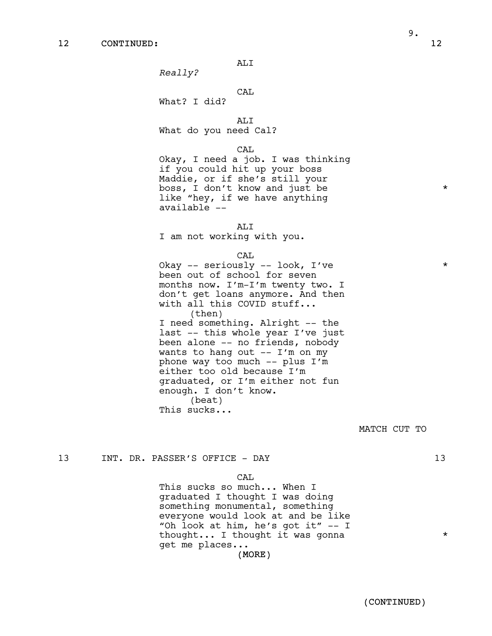*Really?*

## CAL

What? I did?

ALI What do you need Cal?

### CAL

Okay, I need a job. I was thinking if you could hit up your boss Maddie, or if she's still your boss, I don't know and just be \* like "hey, if we have anything available --

ALI I am not working with you.

CAL

Okay -- seriously -- look, I've \* been out of school for seven months now. I'm-I'm twenty two. I don't get loans anymore. And then with all this COVID stuff... (then) I need something. Alright -- the last -- this whole year I've just been alone -- no friends, nobody wants to hang out -- I'm on my phone way too much -- plus I'm either too old because I'm graduated, or I'm either not fun enough. <sup>I</sup> don't know. (beat) This sucks...

MATCH CUT TO

13 INT. DR. PASSER'S OFFICE - DAY 13

### CAL

This sucks so much... When I graduated I thought I was doing something monumental, something everyone would look at and be like "Oh look at him, he's got it" -- I thought... I thought it was gonna  $*$ get me places...

(MORE)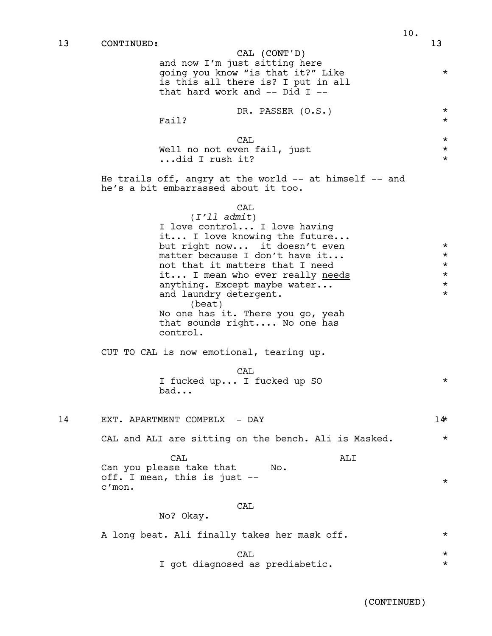13 CONTINUED: 13 CAL (CONT'D) and now I'm just sitting here going you know "is that it?" Like \* is this all there is? I put in all that hard work and -- Did I -- DR. PASSER (O.S.) \* Fail?  $\star$  $\overline{CAL}$   $\overline{CAL}$ Well no not even fail, just  $*$ ...did I rush it? \* He trails off, angry at the world -- at himself -- and he's a bit embarrassed about it too. CAL (*I'll admit*) I love control... I love having it... I love knowing the future... but right now... it doesn't even \* matter because I don't have it...  $\star$ <br>not that it matters that I need  $\star$ not that it matters that I need  $\star$ <br>it... I mean who ever really needs  $\star$ it... I mean who ever really <u>needs</u><br>anything. Except maybe water... anything. Except maybe water... and laundry detergent.  $*$ (beat) No one has it. There you go, yeah that sounds right.... No one has control. CUT TO CAL is now emotional, tearing up. CAL I fucked up... I fucked up SO  $*$ bad... 14 EXT. APARTMENT COMPELX - DAY 14\* CAL and ALI are sitting on the bench. Ali is Masked.  $*$ CAL Can you please take that off. <sup>I</sup> mean, this is just -- c'mon. ALI No. \* CAL No? Okay. A long beat. Ali finally takes her mask off.  $*$  $\overline{CAL}$   $\overline{CAL}$ I got diagnosed as prediabetic.  $*$ 

(CONTINUED)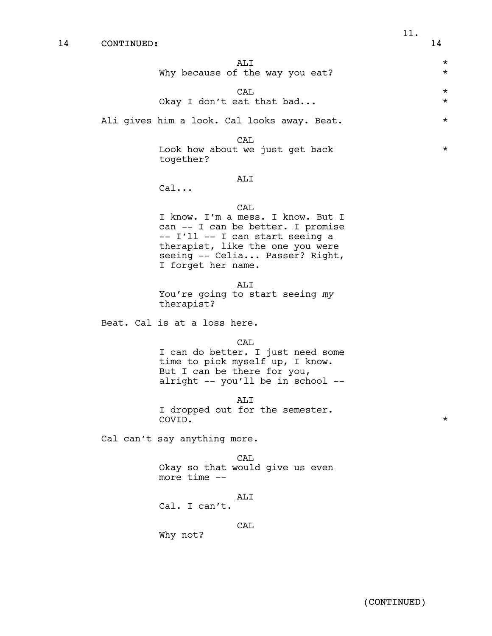| AT T<br>Why because of the way you eat?     | $\star$<br>$\star$ |
|---------------------------------------------|--------------------|
| CAT.<br>Okay I don't eat that bad           | $\star$<br>$\star$ |
| Ali gives him a look. Cal looks away. Beat. | $\star$            |

CAL

Look how about we just get back  $*$ together?

### ALI

Cal...

## CAL

I know. I'm a mess. I know. But I can -- I can be better. I promise -- I'll -- I can start seeing a therapist, like the one you were seeing -- Celia... Passer? Right, I forget her name.

ALI

You're going to start seeing *my* therapist?

Beat. Cal is at a loss here.

CAL

I can do better. I just need some time to pick myself up, I know.<br>But I can be there for you,<br>alright -- you'll be in school --

ALI <sup>I</sup> dropped out for the semester. COVID. \*

Cal can't say anything more.

Okay so that would give us even more time --

#### ALI

Cal. I can't.

CAL

Why not?

CAL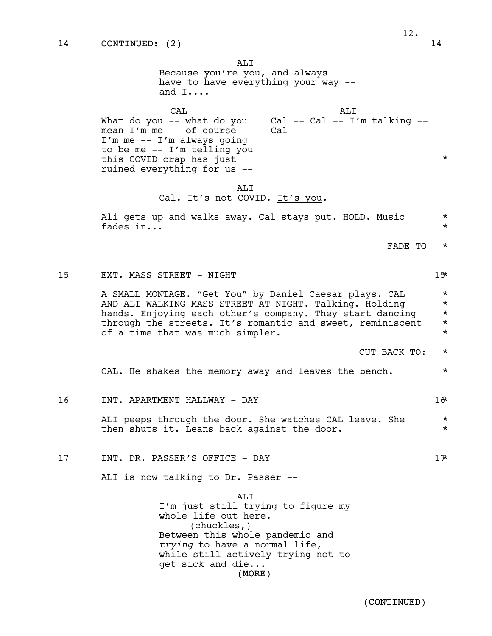ALI Because you're you, and always have to have everything your way - and I....  $CAT$ What do you -- what do you mean I'm me -- of course I'm me -- I'm always going to be me -- I'm telling you this COVID crap has just ruined everything for us -- ALI Cal -- Cal -- I'm talking --  $Cal$   $--$ \* ALI Cal. It's not COVID. It's you. Ali gets up and walks away. Cal stays put. HOLD. Music  $*$ fades  $in...$ FADE TO \* 15 EXT. MASS STREET - NIGHT 15\* A SMALL MONTAGE. "Get You" by Daniel Caesar plays. CAL \* AND ALI WALKING MASS STREET AT NIGHT. Talking. Holding  $*$  hands. Enjoying each other's company. They start danging  $*$ hands. Enjoying each other's company. They start dancing through the streets. It's romantic and sweet, reminiscent \* of a time that was much simpler.  $\star$ CUT BACK TO: \* CAL. He shakes the memory away and leaves the bench.  $*$ 16 INT. APARTMENT HALLWAY - DAY 16\*

> ALI peeps through the door. She watches CAL leave. She \* then shuts it. Leans back against the door.  $*$

17 INT. DR. PASSER'S OFFICE - DAY 17

ALI is now talking to Dr. Passer --

(MORE) ALI I'm just still trying to figure my whole life out here. (chuckles,) Between this whole pandemic and *trying* to have a normal life, while still actively trying not to get sick and die...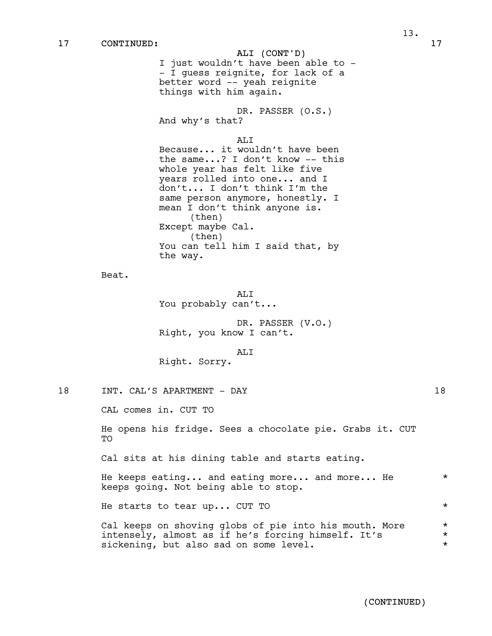ALI (CONT'D) I just wouldn't have been able to -- I guess reignite, for lack of a better word -- yeah reignite things with him again. DR. PASSER (O.S.) And why's that? ALI Because... it wouldn't have been the same...? I don't know -- this whole year has felt like five years rolled into one... and I don't... I don't think I'm the same person anymore, honestly. I mean I don't think anyone is. (then) Except maybe Cal. (then) You can tell him I said that, by the way. Beat. ALI You probably can't... DR. PASSER (V.O.) Right, you know I can't. ALI Right. Sorry.

18 INT. CAL'S APARTMENT - DAY 18

CAL comes in. CUT TO

He opens his fridge. Sees a chocolate pie. Grabs it. CUT TO

Cal sits at his dining table and starts eating.

He keeps eating... and eating more... and more... He  $*$ keeps going. Not being able to stop.

He starts to tear up... CUT TO  $*$ 

|  | Cal keeps on shoving globs of pie into his mouth. More |  |
|--|--------------------------------------------------------|--|
|  | intensely, almost as if he's forcing himself. It's     |  |
|  | sickening, but also sad on some level.                 |  |

(CONTINUED)